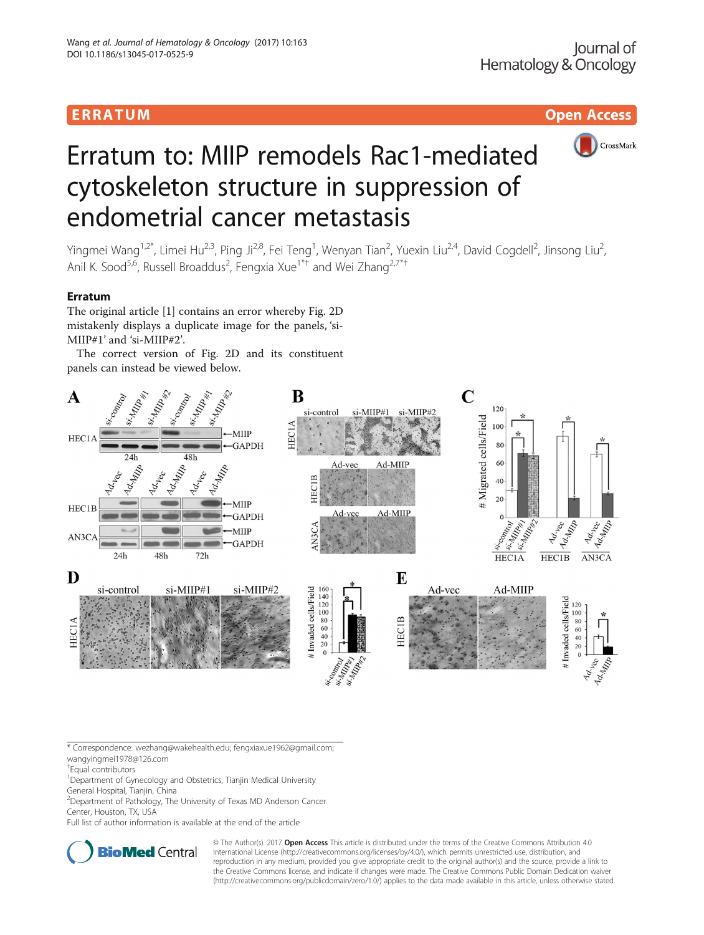# ERRA TUM Open Access



# Erratum to: MIIP remodels Rac1-mediated cytoskeleton structure in suppression of endometrial cancer metastasis

Yingmei Wang<sup>1,2\*</sup>, Limei Hu<sup>2,3</sup>, Ping Ji<sup>2,8</sup>, Fei Teng<sup>1</sup>, Wenyan Tian<sup>2</sup>, Yuexin Liu<sup>2,4</sup>, David Cogdell<sup>2</sup>, Jinsong Liu<sup>2</sup> , Anil K. Sood<sup>5,6</sup>, Russell Broaddus<sup>2</sup>, Fengxia Xue<sup>1\*†</sup> and Wei Zhang<sup>2,7\*†</sup>

## Erratum

The original article [\[1](#page-1-0)] contains an error whereby Fig. 2D mistakenly displays a duplicate image for the panels, 'si-MIIP#1' and 'si-MIIP#2'.

The correct version of Fig. 2D and its constituent panels can instead be viewed below.



\* Correspondence: [wezhang@wakehealth.edu](mailto:wezhang@wakehealth.edu); [fengxiaxue1962@gmail.com](mailto:fengxiaxue1962@gmail.com); [wangyingmei1978@126.com](mailto:wangyingmei1978@126.com)

† Equal contributors

<sup>1</sup> Department of Gynecology and Obstetrics, Tianjin Medical University General Hospital, Tianjin, China

<sup>2</sup> Department of Pathology, The University of Texas MD Anderson Cancer

Center, Houston, TX, USA

Full list of author information is available at the end of the article



© The Author(s). 2017 **Open Access** This article is distributed under the terms of the Creative Commons Attribution 4.0 International License [\(http://creativecommons.org/licenses/by/4.0/](http://creativecommons.org/licenses/by/4.0/)), which permits unrestricted use, distribution, and reproduction in any medium, provided you give appropriate credit to the original author(s) and the source, provide a link to the Creative Commons license, and indicate if changes were made. The Creative Commons Public Domain Dedication waiver [\(http://creativecommons.org/publicdomain/zero/1.0/](http://creativecommons.org/publicdomain/zero/1.0/)) applies to the data made available in this article, unless otherwise stated.